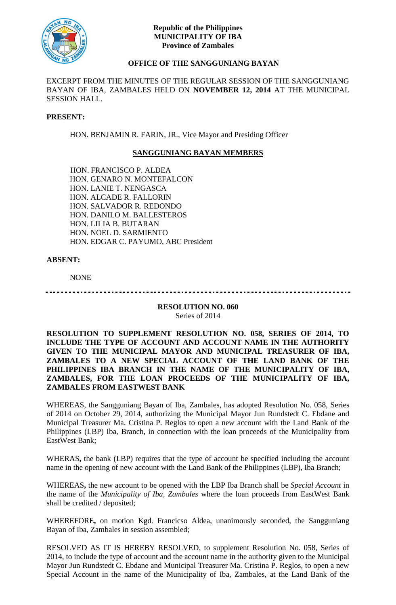

## **Republic of the Philippines MUNICIPALITY OF IBA Province of Zambales**

# **OFFICE OF THE SANGGUNIANG BAYAN**

EXCERPT FROM THE MINUTES OF THE REGULAR SESSION OF THE SANGGUNIANG BAYAN OF IBA, ZAMBALES HELD ON **NOVEMBER 12, 2014** AT THE MUNICIPAL SESSION HALL.

#### **PRESENT:**

HON. BENJAMIN R. FARIN, JR., Vice Mayor and Presiding Officer

## **SANGGUNIANG BAYAN MEMBERS**

HON. FRANCISCO P. ALDEA HON. GENARO N. MONTEFALCON HON. LANIE T. NENGASCA HON. ALCADE R. FALLORIN HON. SALVADOR R. REDONDO HON. DANILO M. BALLESTEROS HON. LILIA B. BUTARAN HON. NOEL D. SARMIENTO HON. EDGAR C. PAYUMO, ABC President

## **ABSENT:**

NONE

. . . . . . . . . . . . . . . . . . .

**RESOLUTION NO. 060** Series of 2014

## **RESOLUTION TO SUPPLEMENT RESOLUTION NO. 058, SERIES OF 2014, TO INCLUDE THE TYPE OF ACCOUNT AND ACCOUNT NAME IN THE AUTHORITY GIVEN TO THE MUNICIPAL MAYOR AND MUNICIPAL TREASURER OF IBA, ZAMBALES TO A NEW SPECIAL ACCOUNT OF THE LAND BANK OF THE PHILIPPINES IBA BRANCH IN THE NAME OF THE MUNICIPALITY OF IBA, ZAMBALES, FOR THE LOAN PROCEEDS OF THE MUNICIPALITY OF IBA, ZAMBALES FROM EASTWEST BANK**

WHEREAS, the Sangguniang Bayan of Iba, Zambales, has adopted Resolution No. 058, Series of 2014 on October 29, 2014, authorizing the Municipal Mayor Jun Rundstedt C. Ebdane and Municipal Treasurer Ma. Cristina P. Reglos to open a new account with the Land Bank of the Philippines (LBP) Iba, Branch, in connection with the loan proceeds of the Municipality from EastWest Bank;

WHERAS**,** the bank (LBP) requires that the type of account be specified including the account name in the opening of new account with the Land Bank of the Philippines (LBP), Iba Branch;

WHEREAS**,** the new account to be opened with the LBP Iba Branch shall be *Special Account* in the name of the *Municipality of Iba, Zambales* where the loan proceeds from EastWest Bank shall be credited / deposited;

WHEREFORE**,** on motion Kgd. Francicso Aldea, unanimously seconded, the Sangguniang Bayan of Iba, Zambales in session assembled;

RESOLVED AS IT IS HEREBY RESOLVED, to supplement Resolution No. 058, Series of 2014, to include the type of account and the account name in the authority given to the Municipal Mayor Jun Rundstedt C. Ebdane and Municipal Treasurer Ma. Cristina P. Reglos, to open a new Special Account in the name of the Municipality of Iba, Zambales, at the Land Bank of the